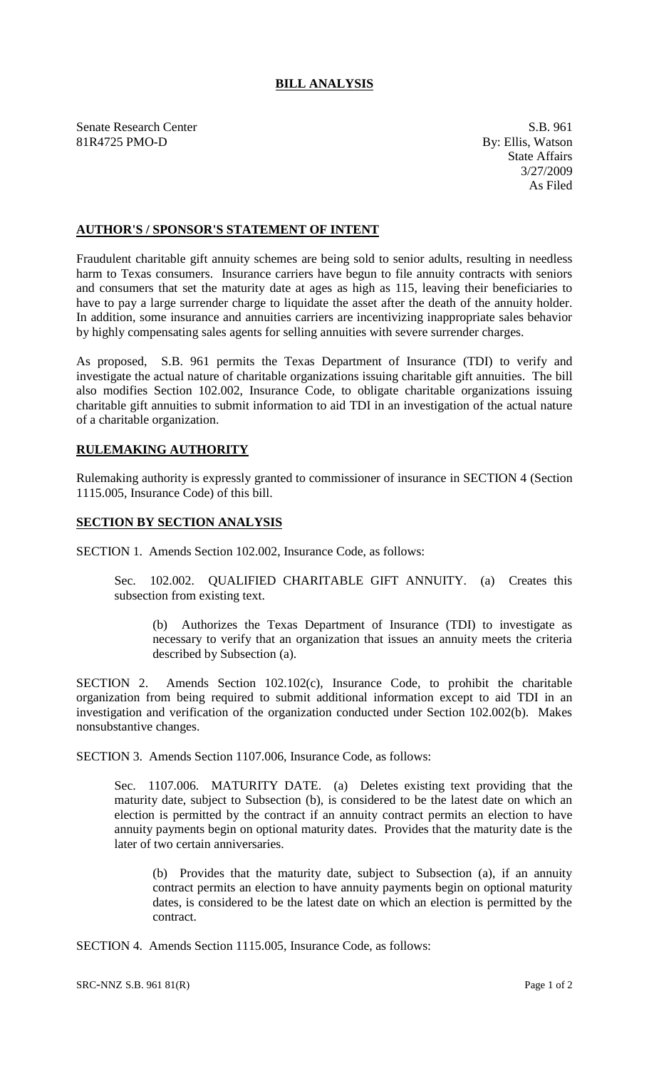## **BILL ANALYSIS**

Senate Research Center S.B. 961 81R4725 PMO-D By: Ellis, Watson

State Affairs 3/27/2009 As Filed

## **AUTHOR'S / SPONSOR'S STATEMENT OF INTENT**

Fraudulent charitable gift annuity schemes are being sold to senior adults, resulting in needless harm to Texas consumers. Insurance carriers have begun to file annuity contracts with seniors and consumers that set the maturity date at ages as high as 115, leaving their beneficiaries to have to pay a large surrender charge to liquidate the asset after the death of the annuity holder. In addition, some insurance and annuities carriers are incentivizing inappropriate sales behavior by highly compensating sales agents for selling annuities with severe surrender charges.

As proposed, S.B. 961 permits the Texas Department of Insurance (TDI) to verify and investigate the actual nature of charitable organizations issuing charitable gift annuities. The bill also modifies Section 102.002, Insurance Code, to obligate charitable organizations issuing charitable gift annuities to submit information to aid TDI in an investigation of the actual nature of a charitable organization.

## **RULEMAKING AUTHORITY**

Rulemaking authority is expressly granted to commissioner of insurance in SECTION 4 (Section 1115.005, Insurance Code) of this bill.

## **SECTION BY SECTION ANALYSIS**

SECTION 1. Amends Section 102.002, Insurance Code, as follows:

Sec. 102.002. QUALIFIED CHARITABLE GIFT ANNUITY. (a) Creates this subsection from existing text.

(b) Authorizes the Texas Department of Insurance (TDI) to investigate as necessary to verify that an organization that issues an annuity meets the criteria described by Subsection (a).

SECTION 2. Amends Section 102.102(c), Insurance Code, to prohibit the charitable organization from being required to submit additional information except to aid TDI in an investigation and verification of the organization conducted under Section 102.002(b). Makes nonsubstantive changes.

SECTION 3. Amends Section 1107.006, Insurance Code, as follows:

Sec. 1107.006. MATURITY DATE. (a) Deletes existing text providing that the maturity date, subject to Subsection (b), is considered to be the latest date on which an election is permitted by the contract if an annuity contract permits an election to have annuity payments begin on optional maturity dates. Provides that the maturity date is the later of two certain anniversaries.

(b) Provides that the maturity date, subject to Subsection (a), if an annuity contract permits an election to have annuity payments begin on optional maturity dates, is considered to be the latest date on which an election is permitted by the contract.

SECTION 4. Amends Section 1115.005, Insurance Code, as follows: